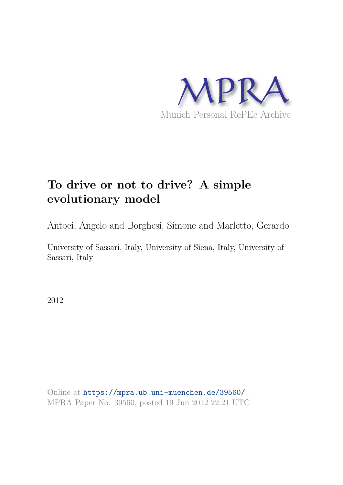

# **To drive or not to drive? A simple evolutionary model**

Antoci, Angelo and Borghesi, Simone and Marletto, Gerardo

University of Sassari, Italy, University of Siena, Italy, University of Sassari, Italy

2012

Online at https://mpra.ub.uni-muenchen.de/39560/ MPRA Paper No. 39560, posted 19 Jun 2012 22:21 UTC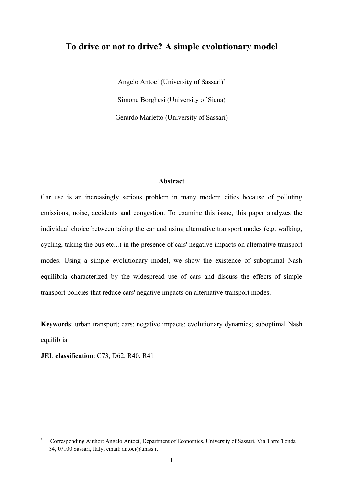## **To drive or not to drive? A simple evolutionary model**

Angelo Antoci (University of Sassari)\* Simone Borghesi (University of Siena) Gerardo Marletto (University of Sassari)

#### **Abstract**

Car use is an increasingly serious problem in many modern cities because of polluting emissions, noise, accidents and congestion. To examine this issue, this paper analyzes the individual choice between taking the car and using alternative transport modes (e.g. walking, cycling, taking the bus etc...) in the presence of cars' negative impacts on alternative transport modes. Using a simple evolutionary model, we show the existence of suboptimal Nash equilibria characterized by the widespread use of cars and discuss the effects of simple transport policies that reduce cars' negative impacts on alternative transport modes.

**Keywords**: urban transport; cars; negative impacts; evolutionary dynamics; suboptimal Nash equilibria

**JEL classification**: C73, D62, R40, R41

<sup>\*</sup> Corresponding Author: Angelo Antoci, Department of Economics, University of Sassari, Via Torre Tonda 34, 07100 Sassari, Italy, email: antoci@uniss.it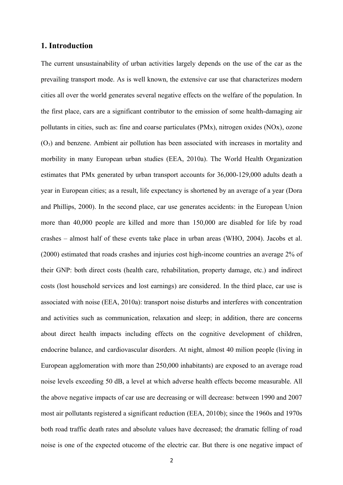## **1. Introduction**

The current unsustainability of urban activities largely depends on the use of the car as the prevailing transport mode. As is well known, the extensive car use that characterizes modern cities all over the world generates several negative effects on the welfare of the population. In the first place, cars are a significant contributor to the emission of some health-damaging air pollutants in cities, such as: fine and coarse particulates (PMx), nitrogen oxides (NOx), ozone  $(O<sub>3</sub>)$  and benzene. Ambient air pollution has been associated with increases in mortality and morbility in many European urban studies (EEA, 2010a). The World Health Organization estimates that PMx generated by urban transport accounts for 36,000-129,000 adults death a year in European cities; as a result, life expectancy is shortened by an average of a year (Dora and Phillips, 2000). In the second place, car use generates accidents: in the European Union more than 40,000 people are killed and more than 150,000 are disabled for life by road crashes – almost half of these events take place in urban areas (WHO, 2004). Jacobs et al. (2000) estimated that roads crashes and injuries cost high-income countries an average 2% of their GNP: both direct costs (health care, rehabilitation, property damage, etc.) and indirect costs (lost household services and lost earnings) are considered. In the third place, car use is associated with noise (EEA, 2010a): transport noise disturbs and interferes with concentration and activities such as communication, relaxation and sleep; in addition, there are concerns about direct health impacts including effects on the cognitive development of children, endocrine balance, and cardiovascular disorders. At night, almost 40 milion people (living in European agglomeration with more than 250,000 inhabitants) are exposed to an average road noise levels exceeding 50 dB, a level at which adverse health effects become measurable. All the above negative impacts of car use are decreasing or will decrease: between 1990 and 2007 most air pollutants registered a significant reduction (EEA, 2010b); since the 1960s and 1970s both road traffic death rates and absolute values have decreased; the dramatic felling of road noise is one of the expected otucome of the electric car. But there is one negative impact of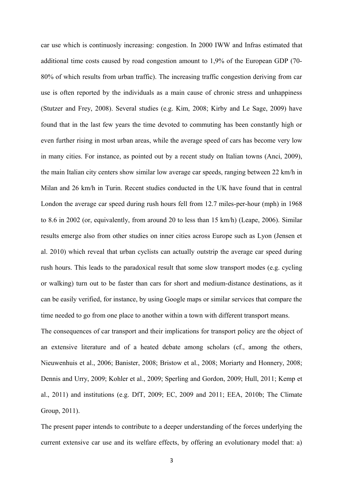car use which is continuosly increasing: congestion. In 2000 IWW and Infras estimated that additional time costs caused by road congestion amount to 1,9% of the European GDP (70- 80% of which results from urban traffic). The increasing traffic congestion deriving from car use is often reported by the individuals as a main cause of chronic stress and unhappiness (Stutzer and Frey, 2008). Several studies (e.g. Kim, 2008; Kirby and Le Sage, 2009) have found that in the last few years the time devoted to commuting has been constantly high or even further rising in most urban areas, while the average speed of cars has become very low in many cities. For instance, as pointed out by a recent study on Italian towns (Anci, 2009), the main Italian city centers show similar low average car speeds, ranging between 22 km/h in Milan and 26 km/h in Turin. Recent studies conducted in the UK have found that in central London the average car speed during rush hours fell from 12.7 miles-per-hour (mph) in 1968 to 8.6 in 2002 (or, equivalently, from around 20 to less than 15 km/h) (Leape, 2006). Similar results emerge also from other studies on inner cities across Europe such as Lyon (Jensen et al. 2010) which reveal that urban cyclists can actually outstrip the average car speed during rush hours. This leads to the paradoxical result that some slow transport modes (e.g. cycling or walking) turn out to be faster than cars for short and medium-distance destinations, as it can be easily verified, for instance, by using Google maps or similar services that compare the time needed to go from one place to another within a town with different transport means.

The consequences of car transport and their implications for transport policy are the object of an extensive literature and of a heated debate among scholars (cf., among the others, Nieuwenhuis et al., 2006; Banister, 2008; Bristow et al., 2008; Moriarty and Honnery, 2008; Dennis and Urry, 2009; Kohler et al., 2009; Sperling and Gordon, 2009; Hull, 2011; Kemp et al., 2011) and institutions (e.g. DfT, 2009; EC, 2009 and 2011; EEA, 2010b; The Climate Group, 2011).

The present paper intends to contribute to a deeper understanding of the forces underlying the current extensive car use and its welfare effects, by offering an evolutionary model that: a)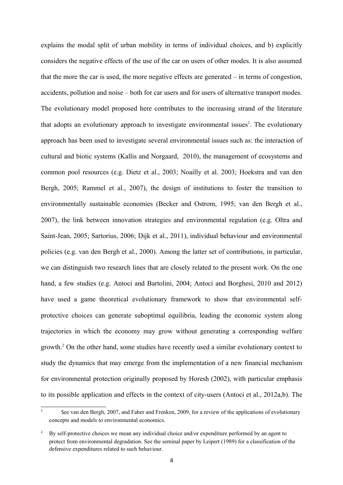explains the modal split of urban mobility in terms of individual choices, and b) explicitly considers the negative effects of the use of the car on users of other modes. It is also assumed that the more the car is used, the more negative effects are generated – in terms of congestion, accidents, pollution and noise – both for car users and for users of alternative transport modes. The evolutionary model proposed here contributes to the increasing strand of the literature that adopts an evolutionary approach to investigate environmental issues<sup>1</sup>. The evolutionary approach has been used to investigate several environmental issues such as: the interaction of cultural and biotic systems (Kallis and Norgaard, 2010), the management of ecosystems and common pool resources (e.g. Dietz et al., 2003; Noailly et al. 2003; Hoekstra and van den Bergh, 2005; Rammel et al., 2007), the design of institutions to foster the transition to environmentally sustainable economies (Becker and Ostrom, 1995; van den Bergh et al., 2007), the link between innovation strategies and environmental regulation (e.g. Oltra and Saint-Jean, 2005; Sartorius, 2006; Dijk et al., 2011), individual behaviour and environmental policies (e.g. van den Bergh et al., 2000). Among the latter set of contributions, in particular, we can distinguish two research lines that are closely related to the present work. On the one hand, a few studies (e.g. Antoci and Bartolini, 2004; Antoci and Borghesi, 2010 and 2012) have used a game theoretical evolutionary framework to show that environmental selfprotective choices can generate suboptimal equilibria, leading the economic system along trajectories in which the economy may grow without generating a corresponding welfare growth.<sup>2</sup> On the other hand, some studies have recently used a similar evolutionary context to study the dynamics that may emerge from the implementation of a new financial mechanism for environmental protection originally proposed by Horesh (2002), with particular emphasis to its possible application and effects in the context of city-users (Antoci et al., 2012a,b). The

<sup>1</sup> See van den Bergh, 2007, and Faber and Frenken, 2009, for a review of the applications of evolutionary concepts and models to environmental economics.

<sup>2</sup> By self-protective choices we mean any individual choice and/or expenditure performed by an agent to protect from environmental degradation. See the seminal paper by Leipert (1989) for a classification of the defensive expenditures related to such behaviour.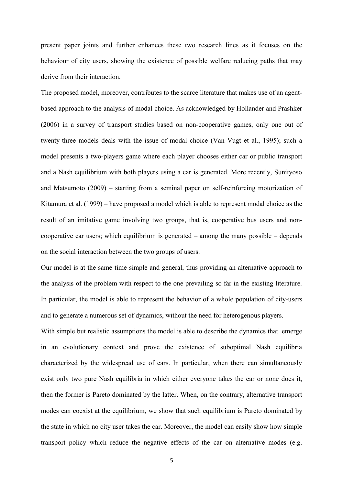present paper joints and further enhances these two research lines as it focuses on the behaviour of city users, showing the existence of possible welfare reducing paths that may derive from their interaction.

The proposed model, moreover, contributes to the scarce literature that makes use of an agentbased approach to the analysis of modal choice. As acknowledged by Hollander and Prashker (2006) in a survey of transport studies based on non-cooperative games, only one out of twenty-three models deals with the issue of modal choice (Van Vugt et al., 1995); such a model presents a two-players game where each player chooses either car or public transport and a Nash equilibrium with both players using a car is generated. More recently, Sunityoso and Matsumoto (2009) – starting from a seminal paper on self-reinforcing motorization of Kitamura et al. (1999) – have proposed a model which is able to represent modal choice as the result of an imitative game involving two groups, that is, cooperative bus users and noncooperative car users; which equilibrium is generated – among the many possible – depends on the social interaction between the two groups of users.

Our model is at the same time simple and general, thus providing an alternative approach to the analysis of the problem with respect to the one prevailing so far in the existing literature. In particular, the model is able to represent the behavior of a whole population of city-users and to generate a numerous set of dynamics, without the need for heterogenous players.

With simple but realistic assumptions the model is able to describe the dynamics that emerge in an evolutionary context and prove the existence of suboptimal Nash equilibria characterized by the widespread use of cars. In particular, when there can simultaneously exist only two pure Nash equilibria in which either everyone takes the car or none does it, then the former is Pareto dominated by the latter. When, on the contrary, alternative transport modes can coexist at the equilibrium, we show that such equilibrium is Pareto dominated by the state in which no city user takes the car. Moreover, the model can easily show how simple transport policy which reduce the negative effects of the car on alternative modes (e.g.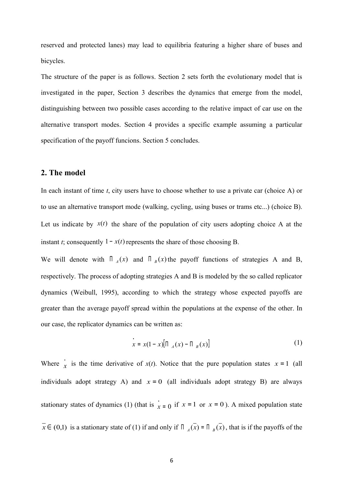reserved and protected lanes) may lead to equilibria featuring a higher share of buses and bicycles.

The structure of the paper is as follows. Section 2 sets forth the evolutionary model that is investigated in the paper, Section 3 describes the dynamics that emerge from the model, distinguishing between two possible cases according to the relative impact of car use on the alternative transport modes. Section 4 provides a specific example assuming a particular specification of the payoff funcions. Section 5 concludes.

## **2. The model**

In each instant of time *t*, city users have to choose whether to use a private car (choice A) or to use an alternative transport mode (walking, cycling, using buses or trams etc...) (choice B). Let us indicate by  $x(t)$  the share of the population of city users adopting choice A at the instant *t*; consequently  $1 - x(t)$  represents the share of those choosing B.

We will denote with  $\prod_{A}(x)$  and  $\prod_{B}(x)$  the payoff functions of strategies A and B, respectively. The process of adopting strategies A and B is modeled by the so called replicator dynamics (Weibull, 1995), according to which the strategy whose expected payoffs are greater than the average payoff spread within the populations at the expense of the other. In our case, the replicator dynamics can be written as:

$$
\dot{x} = x(1-x)[\Pi_A(x) - \Pi_B(x)] \tag{1}
$$

Where  $\dot{x}$  is the time derivative of  $x(t)$ . Notice that the pure population states  $x = 1$  (all individuals adopt strategy A) and  $x = 0$  (all individuals adopt strategy B) are always stationary states of dynamics (1) (that is  $\dot{x} = 0$  if  $x = 1$  or  $x = 0$ ). A mixed population state  $\overline{x} \in (0,1)$  is a stationary state of (1) if and only if  $\overline{A}$   $\overline{A}$  =  $\overline{A}$   $\overline{B}$ , that is if the payoffs of the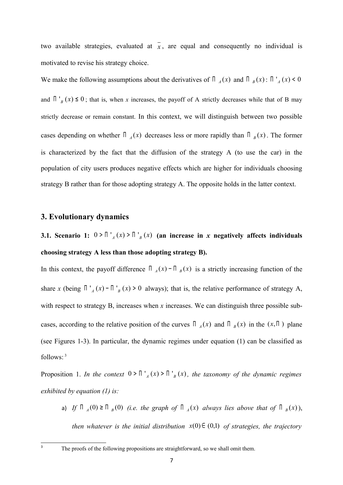two available strategies, evaluated at  $\overline{x}$ , are equal and consequently no individual is motivated to revise his strategy choice.

We make the following assumptions about the derivatives of  $\prod_{A}(x)$  and  $\prod_{B}(x)$ :  $\prod_{A}(x) < 0$ and  $\prod_{B}^{1}(x) \le 0$ ; that is, when *x* increases, the payoff of A strictly decreases while that of B may strictly decrease or remain constant. In this context, we will distinguish between two possible cases depending on whether  $\prod_{A}(x)$  decreases less or more rapidly than  $\prod_{B}(x)$ . The former is characterized by the fact that the diffusion of the strategy A (to use the car) in the population of city users produces negative effects which are higher for individuals choosing strategy B rather than for those adopting strategy A. The opposite holds in the latter context.

## **3. Evolutionary dynamics**

**3.1. Scenario 1:**  $0 > \prod_{A}^{1}(x) > \prod_{B}^{1}(x)$  (an increase in *x* negatively affects individuals **choosing strategy A less than those adopting strategy B).**

In this context, the payoff difference  $\prod_{A}(x) - \prod_{B}(x)$  is a strictly increasing function of the share *x* (being  $\prod_{a=1}^{1} (x) - \prod_{b=1}^{1} (x) > 0$  always); that is, the relative performance of strategy A, with respect to strategy B, increases when *x* increases. We can distinguish three possible subcases, according to the relative position of the curves  $\prod_{A}(x)$  and  $\prod_{B}(x)$  in the  $(x,\Pi)$  plane (see Figures 1-3). In particular, the dynamic regimes under equation (1) can be classified as follows: 3

Proposition 1. *In the context*  $0 > \prod_{A} f(x) > \prod_{B} f(x)$ , the taxonomy of the dynamic regimes *exhibited by equation (1) is:*

a) *If*  $\prod_{A}(0) \ge \prod_{B}(0)$  (*i.e. the graph of*  $\prod_{A}(x)$  *always lies above that of*  $\prod_{B}(x)$ ), *then whatever is the initial distribution*  $x(0) \in (0,1)$  *of strategies, the trajectory* 

3

The proofs of the following propositions are straightforward, so we shall omit them.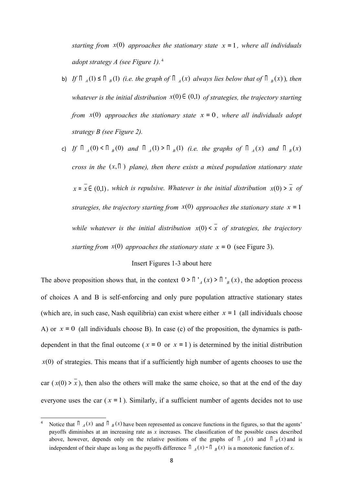*starting from*  $x(0)$  *approaches the stationary state*  $x = 1$ *, where all individuals adopt strategy A (see Figure 1).*<sup>4</sup>

- b) *If*  $\Pi_A(1) \leq \Pi_B(1)$  (*i.e. the graph of*  $\Pi_A(x)$  *always lies below that of*  $\Pi_B(x)$ *), then whatever is the initial distribution*  $x(0) \in (0,1)$  *of strategies, the trajectory starting from*  $x(0)$  *approaches the stationary state*  $x = 0$ *, where all individuals adopt strategy B (see Figure 2).*
- c) *If*  $\Pi_A(0) < \Pi_B(0)$  and  $\Pi_A(1) > \Pi_B(1)$  (i.e. the graphs of  $\Pi_A(x)$  and  $\Pi_B(x)$ *cross in the*  $(x,\Pi)$  *plane), then there exists a mixed population stationary state*  $x = \overline{x} \in (0,1)$ , which is repulsive. Whatever is the initial distribution  $\overline{x}(0) > \overline{x}$  of *strategies, the trajectory starting from*  $x(0)$  *approaches the stationary state*  $x = 1$ *while whatever is the initial distribution*  $\overline{x}(0) \leq \overline{x}$  of strategies, the trajectory *starting from*  $\dot{x}(0)$  *approaches the stationary state*  $\dot{x} = 0$  (see Figure 3).

#### Insert Figures 1-3 about here

The above proposition shows that, in the context  $0 > \prod_{a} f(x) > \prod_{b} f(x)$ , the adoption process of choices A and B is self-enforcing and only pure population attractive stationary states (which are, in such case, Nash equilibria) can exist where either  $x = 1$  (all individuals choose A) or  $x = 0$  (all individuals choose B). In case (c) of the proposition, the dynamics is pathdependent in that the final outcome ( $x = 0$  or  $x = 1$ ) is determined by the initial distribution  $x(0)$  of strategies. This means that if a sufficiently high number of agents chooses to use the car  $(x(0) > x)$ , then also the others will make the same choice, so that at the end of the day everyone uses the car  $(x = 1)$ . Similarly, if a sufficient number of agents decides not to use

Notice that  $\prod_{A} (x)$  and  $\prod_{B} (x)$  have been represented as concave functions in the figures, so that the agents' payoffs diminishes at an increasing rate as *x* increases. The classification of the possible cases described above, however, depends only on the relative positions of the graphs of  $\prod_{A}(x)$  and  $\prod_{B}(x)$  and is independent of their shape as long as the payoffs difference  $\prod_{A}(x)$  –  $\prod_{B}(x)$  is a monotonic function of *x*.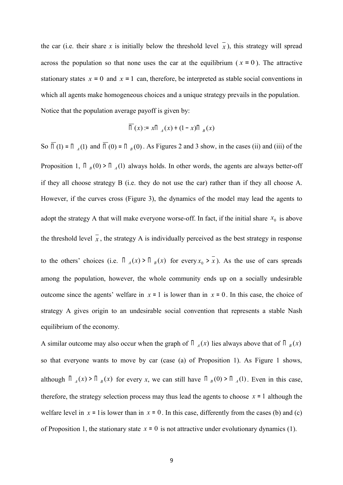the car (i.e. their share x is initially below the threshold level  $\bar{x}$ ), this strategy will spread across the population so that none uses the car at the equilibrium ( $x = 0$ ). The attractive stationary states  $x = 0$  and  $x = 1$  can, therefore, be interpreted as stable social conventions in which all agents make homogeneous choices and a unique strategy prevails in the population. Notice that the population average payoff is given by:

$$
\overline{\Pi}(x) = x\Pi_A(x) + (1-x)\Pi_B(x)
$$

So  $\overline{\Pi}(1) = \Pi_{A}(1)$  and  $\overline{\Pi}(0) = \Pi_{B}(0)$ . As Figures 2 and 3 show, in the cases (ii) and (iii) of the Proposition 1,  $\prod_{B} (0) > \prod_{A} (1)$  always holds. In other words, the agents are always better-off if they all choose strategy B (i.e. they do not use the car) rather than if they all choose A. However, if the curves cross (Figure 3), the dynamics of the model may lead the agents to adopt the strategy A that will make everyone worse-off. In fact, if the initial share  $x_0$  is above the threshold level  $\bar{x}$ , the strategy A is individually perceived as the best strategy in response to the others' choices (i.e.  $\prod_{A}(x) > \prod_{B}(x)$  for every  $x_0 > x$ ). As the use of cars spreads among the population, however, the whole community ends up on a socially undesirable outcome since the agents' welfare in  $x = 1$  is lower than in  $x = 0$ . In this case, the choice of strategy A gives origin to an undesirable social convention that represents a stable Nash equilibrium of the economy.

A similar outcome may also occur when the graph of  $\prod_{A}(x)$  lies always above that of  $\prod_{B}(x)$ so that everyone wants to move by car (case (a) of Proposition 1). As Figure 1 shows, although  $\prod_{A}(x)$  is  $\prod_{B}(x)$  for every *x*, we can still have  $\prod_{B}(0)$  if  $\prod_{A}(1)$ . Even in this case, therefore, the strategy selection process may thus lead the agents to choose  $x = 1$  although the welfare level in  $x = 1$  is lower than in  $x = 0$ . In this case, differently from the cases (b) and (c) of Proposition 1, the stationary state  $x = 0$  is not attractive under evolutionary dynamics (1).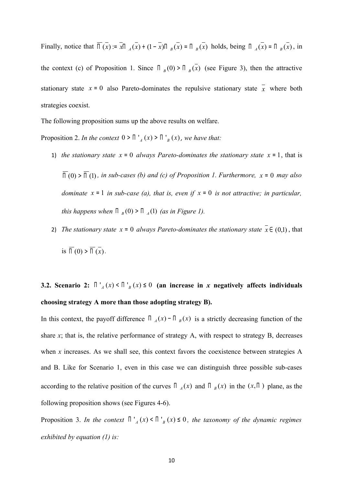Finally, notice that  $\overline{\Pi}(x) = \overline{x}\Pi_A(x) + (1 - \overline{x})\Pi_B(x) = \Pi_B(x)$  holds, being  $\Pi_A(x) = \Pi_B(x)$ , in the context (c) of Proposition 1. Since  $\prod_{B}(0) > \prod_{B}(\overline{x})$  (see Figure 3), then the attractive stationary state  $x = 0$  also Pareto-dominates the repulsive stationary state  $\overline{x}$  where both strategies coexist.

The following proposition sums up the above results on welfare.

Proposition 2. *In the context*  $0 > \prod_{A} f(x) > \prod_{B} f(x)$ , we have that:

- 1) *the stationary state*  $x = 0$  *always Pareto-dominates the stationary state*  $x = 1$ , that is  $\overline{\Pi}(0)$   $> \overline{\Pi}(1)$ , *in sub-cases (b) and (c) of Proposition 1. Furthermore, x* = 0 *may also dominate x* <sup>=</sup> 1 *in sub-case (a), that is, even if x* <sup>=</sup> 0 *is not attractive; in particular, this happens when*  $\Pi_B(0) > \Pi_A(1)$  *(as in Figure 1).*
- 2) *The stationary state*  $x = 0$  *always Pareto-dominates the stationary state*  $\overline{x} \in (0,1)$ , that is  $\overline{\Pi}(0) > \overline{\Pi}(\overline{x})$ .

## **3.2.** Scenario 2:  $\prod_{A}^{A}(x) < \prod_{B}^{A}(x) \leq 0$  (an increase in *x* negatively affects individuals **choosing strategy A more than those adopting strategy B).**

In this context, the payoff difference  $\prod_{A}(x) - \prod_{B}(x)$  is a strictly decreasing function of the share  $x$ ; that is, the relative performance of strategy  $A$ , with respect to strategy  $B$ , decreases when *x* increases. As we shall see, this context favors the coexistence between strategies A and B. Like for Scenario 1, even in this case we can distinguish three possible sub-cases according to the relative position of the curves  $\prod_{A}(x)$  and  $\prod_{B}(x)$  in the  $(x,\Pi)$  plane, as the following proposition shows (see Figures 4-6).

Proposition 3. *In the context*  $\prod_{A} (x) \leq \prod_{B} (x) \leq 0$ , the taxonomy of the dynamic regimes *exhibited by equation (1) is:*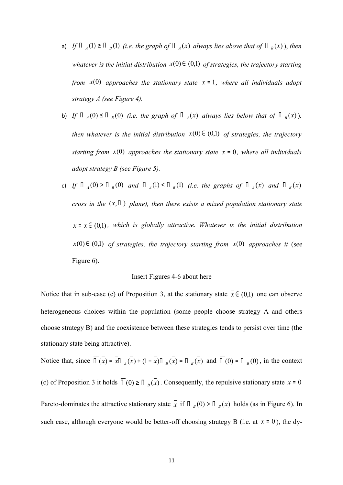- a) *If*  $\Pi_A(1) \ge \Pi_B(1)$  (i.e. the graph of  $\Pi_A(x)$  always lies above that of  $\Pi_B(x)$ ), then *whatever is the initial distribution*  $x(0) \in (0,1)$  *of strategies, the trajectory starting from*  $\dot{x}(0)$  *approaches the stationary state*  $\dot{x} = 1$ *, where all individuals adopt strategy A (see Figure 4).*
- b) *If*  $\Pi_A(0) \leq \Pi_B(0)$  (i.e. the graph of  $\Pi_A(x)$  always lies below that of  $\Pi_B(x)$ ), *then whatever is the initial distribution*  $x(0) \in (0,1)$  *of strategies, the trajectory starting from*  $x(0)$  *approaches the stationary state*  $x = 0$ *, where all individuals adopt strategy B (see Figure 5).*
- c) *If*  $\Pi_A(0) > \Pi_B(0)$  and  $\Pi_A(1) < \Pi_B(1)$  (i.e. the graphs of  $\Pi_A(x)$  and  $\Pi_B(x)$ *cross in the*  $(x,\Pi)$  *plane), then there exists a mixed population stationary state*  $x = \overline{x} \in (0,1)$ , which is globally attractive. Whatever is the initial distribution  $x(0) \in (0,1)$  of strategies, the trajectory starting from  $x(0)$  approaches it (see Figure 6).

#### Insert Figures 4-6 about here

Notice that in sub-case (c) of Proposition 3, at the stationary state  $x \in (0,1)$  one can observe heterogeneous choices within the population (some people choose strategy A and others choose strategy B) and the coexistence between these strategies tends to persist over time (the stationary state being attractive).

Notice that, since  $\overline{\Pi}(x) = x\overline{\Pi}_A(x) + (1 - x)\overline{\Pi}_B(x) = \overline{\Pi}_B(x)$  and  $\overline{\Pi}(0) = \overline{\Pi}_B(0)$ , in the context (c) of Proposition 3 it holds  $\overline{II}(0) \ge \overline{II}_{B}(x)$ . Consequently, the repulsive stationary state  $x = 0$ Pareto-dominates the attractive stationary state  $\overline{x}$  if  $\overline{\Pi}_B(0) > \overline{\Pi}_B(\overline{x})$  holds (as in Figure 6). In such case, although everyone would be better-off choosing strategy B (i.e. at *x* <sup>=</sup> 0 ), the dy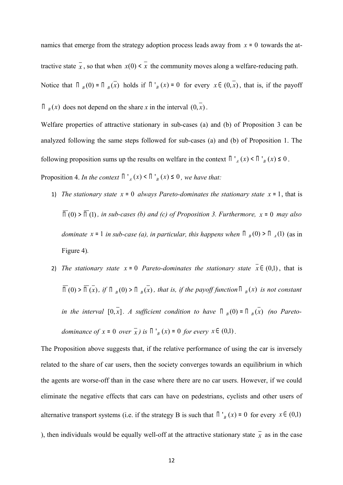namics that emerge from the strategy adoption process leads away from  $x = 0$  towards the attractive state  $\overline{x}$ , so that when  $x(0) \le \overline{x}$  the community moves along a welfare-reducing path. Notice that  $\prod_{B} (0) = \prod_{B} (x)$  holds if  $\prod_{B} (x) = 0$  for every  $x \in (0, x)$ , that is, if the payoff  $\Pi$ <sub>B</sub> $(x)$  does not depend on the share *x* in the interval  $(0, x)$ .

Welfare properties of attractive stationary in sub-cases (a) and (b) of Proposition 3 can be analyzed following the same steps followed for sub-cases (a) and (b) of Proposition 1. The following proposition sums up the results on welfare in the context  $\prod_{A}^{A}(x) \leq \prod_{B}^{A}(x) \leq 0$ .

Proposition 4. *In the context*  $\prod_{A}^{A}(x) < \prod_{B}^{B}(x) \leq 0$ , we have that:

- 1) *The stationary state*  $x = 0$  *always Pareto-dominates the stationary state*  $x = 1$ , that is  $\overline{\Pi}(0)$   $> \overline{\Pi}(1)$ , *in sub-cases (b) and (c) of Proposition 3. Furthermore, x* = 0 *may also dominate*  $x = 1$  *in sub-case (a), in particular, this happens when*  $\prod_{B}(0) > \prod_{A}(1)$  (as in Figure 4)*.*
- 2) *The stationary state*  $x = 0$  *Pareto-dominates the stationary state*  $\overline{x} \in (0,1)$ , that is  $\Pi$  (0) >  $\Pi$  (x), if  $\Pi$  <sub>*B*</sub> (0) >  $\Pi$  <sub>*B*</sub>(x), that is, if the payoff function  $\Pi$  <sub>*B*</sub>(x) is not constant *in the interval*  $[0,\overline{x}]$ . *A sufficient condition to have*  $\prod_{B}(0) = \prod_{B}(x)$  (no Pareto*dominance of*  $x = 0$  *over*  $\overline{x}$ *) is*  $\prod_{B}^{x} (x) = 0$  *for every*  $x \in (0,1)$ .

The Proposition above suggests that, if the relative performance of using the car is inversely related to the share of car users, then the society converges towards an equilibrium in which the agents are worse-off than in the case where there are no car users. However, if we could eliminate the negative effects that cars can have on pedestrians, cyclists and other users of alternative transport systems (i.e. if the strategy B is such that  $\prod_{\beta} (x) = 0$  for every  $x \in (0,1)$ ), then individuals would be equally well-off at the attractive stationary state  $\bar{x}$  as in the case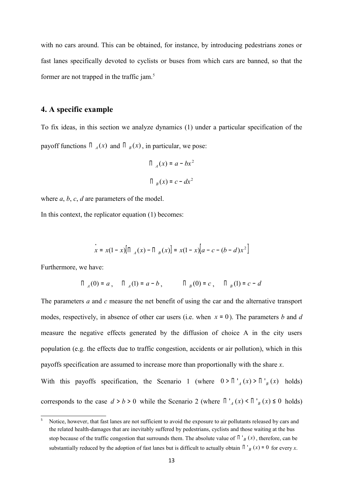with no cars around. This can be obtained, for instance, by introducing pedestrians zones or fast lanes specifically devoted to cyclists or buses from which cars are banned, so that the former are not trapped in the traffic jam.<sup>5</sup>

#### **4. A specific example**

To fix ideas, in this section we analyze dynamics (1) under a particular specification of the payoff functions  $\prod_{A}(x)$  and  $\prod_{B}(x)$ , in particular, we pose:

$$
\Pi_{A}(x) = a - bx^{2}
$$

$$
\Pi_{B}(x) = c - dx^{2}
$$

where *a*, *b*, *c*, *d* are parameters of the model.

In this context, the replicator equation (1) becomes:

$$
\int_{0}^{1} x^{2} = x(1-x)[\prod_{A}(x) - \prod_{B}(x)] = x(1-x)[a - c - (b - d)x^{2}]
$$

Furthermore, we have:

$$
\Pi_A(0) = a
$$
,  $\Pi_A(1) = a - b$ ,  $\Pi_B(0) = c$ ,  $\Pi_B(1) = c - d$ 

The parameters *a* and *c* measure the net benefit of using the car and the alternative transport modes, respectively, in absence of other car users (i.e. when *x* <sup>=</sup> 0). The parameters *b* and *d*  measure the negative effects generated by the diffusion of choice A in the city users population (e.g. the effects due to traffic congestion, accidents or air pollution), which in this payoffs specification are assumed to increase more than proportionally with the share *x*. With this payoffs specification, the Scenario 1 (where  $0 > \prod_{A} (x) > \prod_{B} (x)$  holds)

corresponds to the case  $d > b > 0$  while the Scenario 2 (where  $\prod_{a=1}^{n} (x) \le \prod_{b=1}^{n} (x) \le 0$  holds)

Notice, however, that fast lanes are not sufficient to avoid the exposure to air pollutants released by cars and the related health-damages that are inevitably suffered by pedestrians, cyclists and those waiting at the bus stop because of the traffic congestion that surrounds them. The absolute value of  $\prod_{B}$   $\binom{n}{B}$ , therefore, can be substantially reduced by the adoption of fast lanes but is difficult to actually obtain  $\prod_{B} (x) = 0$  for every *x*.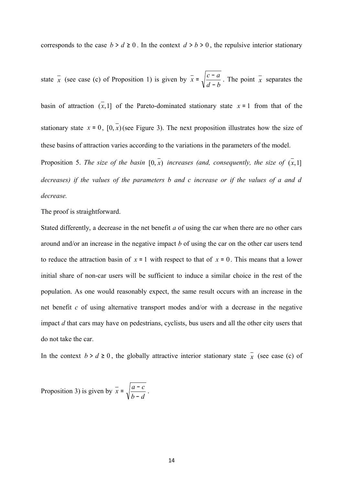corresponds to the case  $b > d \ge 0$ . In the context  $d > b > 0$ , the repulsive interior stationary

state  $x$  (see case (c) of Proposition 1) is given by  $x$ *d b*  $\bar{x} = \sqrt{\frac{c-a}{1-c}}$ −  $=\sqrt{\frac{c-a}{l}}$ . The point  $\bar{x}$  separates the

basin of attraction  $(\overline{x}, 1]$  of the Pareto-dominated stationary state  $x = 1$  from that of the stationary state  $x = 0$ ,  $[0, \overline{x}]$  (see Figure 3). The next proposition illustrates how the size of these basins of attraction varies according to the variations in the parameters of the model.

Proposition 5. *The size of the basin*  $[0, \overline{x})$  *increases (and, consequently, the size of*  $(\overline{x}, 1]$ *decreases) if the values of the parameters b and c increase or if the values of a and d decrease.*

The proof is straightforward.

Stated differently, a decrease in the net benefit *a* of using the car when there are no other cars around and/or an increase in the negative impact *b* of using the car on the other car users tend to reduce the attraction basin of  $x = 1$  with respect to that of  $x = 0$ . This means that a lower initial share of non-car users will be sufficient to induce a similar choice in the rest of the population. As one would reasonably expect, the same result occurs with an increase in the net benefit *c* of using alternative transport modes and/or with a decrease in the negative impact *d* that cars may have on pedestrians, cyclists, bus users and all the other city users that do not take the car.

In the context  $b > d \ge 0$ , the globally attractive interior stationary state  $\bar{x}$  (see case (c) of

Proposition 3) is given by *b d*  $\bar{x} = \sqrt{\frac{a-c}{b-c}}$ −  $=\sqrt{\frac{a-c}{a}}$ .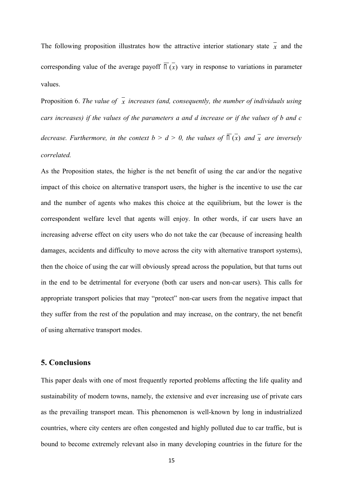The following proposition illustrates how the attractive interior stationary state  $\bar{x}$  and the corresponding value of the average payoff  $\overline{II}(x)$  vary in response to variations in parameter values.

Proposition 6. *The value of* x increases (and, consequently, the number of individuals using *cars increases) if the values of the parameters a and d increase or if the values of b and c decrease. Furthermore, in the context*  $b > d > 0$ *, the values of*  $\overline{\Pi}(x)$  and  $\overline{x}$  are inversely *correlated.*

As the Proposition states, the higher is the net benefit of using the car and/or the negative impact of this choice on alternative transport users, the higher is the incentive to use the car and the number of agents who makes this choice at the equilibrium, but the lower is the correspondent welfare level that agents will enjoy. In other words, if car users have an increasing adverse effect on city users who do not take the car (because of increasing health damages, accidents and difficulty to move across the city with alternative transport systems), then the choice of using the car will obviously spread across the population, but that turns out in the end to be detrimental for everyone (both car users and non-car users). This calls for appropriate transport policies that may "protect" non-car users from the negative impact that they suffer from the rest of the population and may increase, on the contrary, the net benefit of using alternative transport modes.

## **5. Conclusions**

This paper deals with one of most frequently reported problems affecting the life quality and sustainability of modern towns, namely, the extensive and ever increasing use of private cars as the prevailing transport mean. This phenomenon is well-known by long in industrialized countries, where city centers are often congested and highly polluted due to car traffic, but is bound to become extremely relevant also in many developing countries in the future for the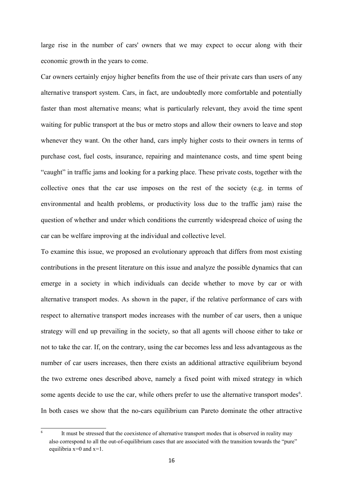large rise in the number of cars' owners that we may expect to occur along with their economic growth in the years to come.

Car owners certainly enjoy higher benefits from the use of their private cars than users of any alternative transport system. Cars, in fact, are undoubtedly more comfortable and potentially faster than most alternative means; what is particularly relevant, they avoid the time spent waiting for public transport at the bus or metro stops and allow their owners to leave and stop whenever they want. On the other hand, cars imply higher costs to their owners in terms of purchase cost, fuel costs, insurance, repairing and maintenance costs, and time spent being "caught" in traffic jams and looking for a parking place. These private costs, together with the collective ones that the car use imposes on the rest of the society (e.g. in terms of environmental and health problems, or productivity loss due to the traffic jam) raise the question of whether and under which conditions the currently widespread choice of using the car can be welfare improving at the individual and collective level.

To examine this issue, we proposed an evolutionary approach that differs from most existing contributions in the present literature on this issue and analyze the possible dynamics that can emerge in a society in which individuals can decide whether to move by car or with alternative transport modes. As shown in the paper, if the relative performance of cars with respect to alternative transport modes increases with the number of car users, then a unique strategy will end up prevailing in the society, so that all agents will choose either to take or not to take the car. If, on the contrary, using the car becomes less and less advantageous as the number of car users increases, then there exists an additional attractive equilibrium beyond the two extreme ones described above, namely a fixed point with mixed strategy in which some agents decide to use the car, while others prefer to use the alternative transport modes<sup>6</sup>. In both cases we show that the no-cars equilibrium can Pareto dominate the other attractive

<sup>6</sup> It must be stressed that the coexistence of alternative transport modes that is observed in reality may also correspond to all the out-of-equilibrium cases that are associated with the transition towards the "pure" equilibria  $x=0$  and  $x=1$ .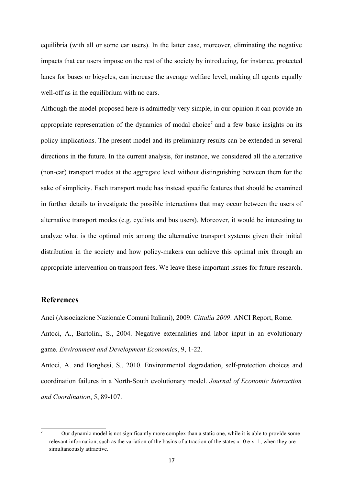equilibria (with all or some car users). In the latter case, moreover, eliminating the negative impacts that car users impose on the rest of the society by introducing, for instance, protected lanes for buses or bicycles, can increase the average welfare level, making all agents equally well-off as in the equilibrium with no cars.

Although the model proposed here is admittedly very simple, in our opinion it can provide an appropriate representation of the dynamics of modal choice<sup>7</sup> and a few basic insights on its policy implications. The present model and its preliminary results can be extended in several directions in the future. In the current analysis, for instance, we considered all the alternative (non-car) transport modes at the aggregate level without distinguishing between them for the sake of simplicity. Each transport mode has instead specific features that should be examined in further details to investigate the possible interactions that may occur between the users of alternative transport modes (e.g. cyclists and bus users). Moreover, it would be interesting to analyze what is the optimal mix among the alternative transport systems given their initial distribution in the society and how policy-makers can achieve this optimal mix through an appropriate intervention on transport fees. We leave these important issues for future research.

## **References**

Anci (Associazione Nazionale Comuni Italiani), 2009. *Cittalia 2009*. ANCI Report, Rome.

Antoci, A., Bartolini, S., 2004. Negative externalities and labor input in an evolutionary game. *Environment and Development Economics*, 9, 1-22.

Antoci, A. and Borghesi, S., 2010. Environmental degradation, self-protection choices and coordination failures in a North-South evolutionary model. *Journal of Economic Interaction and Coordination*, 5, 89-107.

<sup>7</sup> Our dynamic model is not significantly more complex than a static one, while it is able to provide some relevant information, such as the variation of the basins of attraction of the states  $x=0$  e  $x=1$ , when they are simultaneously attractive.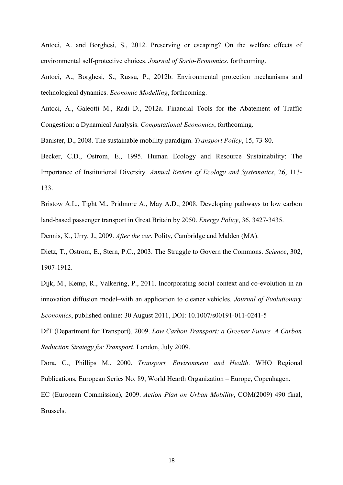Antoci, A. and Borghesi, S., 2012. Preserving or escaping? On the welfare effects of environmental self-protective choices. *Journal of Socio-Economics*, forthcoming.

Antoci, A., Borghesi, S., Russu, P., 2012b. Environmental protection mechanisms and technological dynamics. *Economic Modelling*, forthcoming.

Antoci, A., Galeotti M., Radi D., 2012a. Financial Tools for the Abatement of Traffic Congestion: a Dynamical Analysis. *Computational Economics*, forthcoming.

Banister, D., 2008. The sustainable mobility paradigm. *Transport Policy*, 15, 73-80.

Becker, C.D., Ostrom, E., 1995. Human Ecology and Resource Sustainability: The Importance of Institutional Diversity. *Annual Review of Ecology and Systematics*, 26, 113- 133.

Bristow A.L., Tight M., Pridmore A., May A.D., 2008. Developing pathways to low carbon land-based passenger transport in Great Britain by 2050. *Energy Policy*, 36, 3427-3435.

Dennis, K., Urry, J., 2009. *After the car*. Polity, Cambridge and Malden (MA).

Dietz, T., Ostrom, E., Stern, P.C., 2003. The Struggle to Govern the Commons. *Science*, 302, 1907-1912.

Dijk, M., Kemp, R., Valkering, P., 2011. Incorporating social context and co-evolution in an innovation diffusion model–with an application to cleaner vehicles. *Journal of Evolutionary Economics*, published online: 30 August 2011, DOI: 10.1007/s00191-011-0241-5

DfT (Department for Transport), 2009. *Low Carbon Transport: a Greener Future. A Carbon Reduction Strategy for Transport*. London, July 2009.

Dora, C., Phillips M., 2000. *Transport, Environment and Health*. WHO Regional Publications, European Series No. 89, World Hearth Organization – Europe, Copenhagen. EC (European Commission), 2009. *Action Plan on Urban Mobility*, COM(2009) 490 final,

Brussels.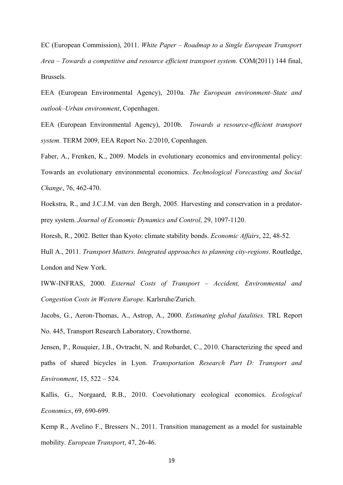EC (European Commission), 2011. *White Paper – Roadmap to a Single European Transport Area – Towards a competitive and resource efficient transport system.* COM(2011) 144 final, Brussels.

EEA (European Environmental Agency), 2010a. *The European environment–State and outlook–Urban environment*, Copenhagen.

EEA (European Environmental Agency), 2010b. *Towards a resource-efficient transport system.* TERM 2009, EEA Report No. 2/2010, Copenhagen.

Faber, A., Frenken, K., 2009. Models in evolutionary economics and environmental policy: Towards an evolutionary environmental economics. *Technological Forecasting and Social Change*, 76, 462-470.

Hoekstra, R., and J.C.J.M. van den Bergh, 2005. Harvesting and conservation in a predatorprey system. *Journal of Economic Dynamics and Control*, 29, 1097-1120.

Horesh, R., 2002. Better than Kyoto: climate stability bonds. *Economic Affairs*, 22, 48-52.

Hull A., 2011. *Transport Matters. Integrated approaches to planning city-regions*. Routledge, London and New York.

IWW-INFRAS, 2000. *External Costs of Transport – Accident, Environmental and Congestion Costs in Western Europe*. Karlsruhe/Zurich.

Jacobs, G., Aeron-Thomas, A., Astrop, A., 2000. *Estimating global fatalities.* TRL Report No. 445, Transport Research Laboratory, Crowthorne.

Jensen, P., Rouquier, J.B., Ovtracht, N. and Robardet, C., 2010. Characterizing the speed and paths of shared bicycles in Lyon. *Transportation Research Part D: Transport and Environment*, 15, 522 – 524.

Kallis, G., Norgaard, R.B., 2010. Coevolutionary ecological economics. *Ecological Economics*, 69, 690-699.

Kemp R., Avelino F., Bressers N., 2011. Transition management as a model for sustainable mobility. *European Transport*, 47, 26-46.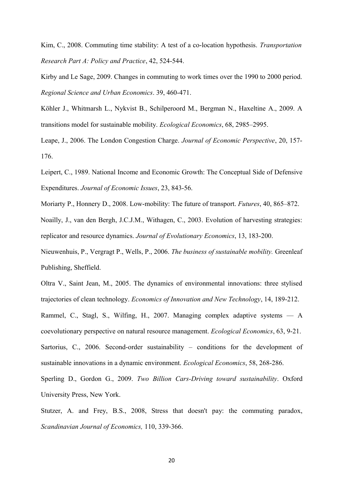Kim, C., 2008. Commuting time stability: A test of a co-location hypothesis. *Transportation Research Part A: Policy and Practice*, 42, 524-544.

Kirby and Le Sage, 2009. Changes in commuting to work times over the 1990 to 2000 period. *Regional Science and Urban Economics*. 39, 460-471.

Köhler J., Whitmarsh L., Nykvist B., Schilperoord M., Bergman N., Haxeltine A., 2009. A transitions model for sustainable mobility. *Ecological Economics*, 68, 2985–2995.

Leape, J., 2006. The London Congestion Charge. *Journal of Economic Perspective*, 20, 157- 176.

Leipert, C., 1989. National Income and Economic Growth: The Conceptual Side of Defensive Expenditures. *Journal of Economic Issues*, 23, 843-56.

Moriarty P., Honnery D., 2008. Low-mobility: The future of transport. *Futures*, 40, 865–872.

Noailly, J., van den Bergh, J.C.J.M., Withagen, C., 2003. Evolution of harvesting strategies: replicator and resource dynamics. *Journal of Evolutionary Economics*, 13, 183-200.

Nieuwenhuis, P., Vergragt P., Wells, P., 2006. *The business of sustainable mobility.* Greenleaf Publishing, Sheffield.

Oltra V., Saint Jean, M., 2005. The dynamics of environmental innovations: three stylised trajectories of clean technology. *Economics of Innovation and New Technology*, 14, 189-212. Rammel, C., Stagl, S., Wilfing, H., 2007. Managing complex adaptive systems — A coevolutionary perspective on natural resource management. *Ecological Economics*, 63, 9-21. Sartorius, C., 2006. Second-order sustainability – conditions for the development of sustainable innovations in a dynamic environment. *Ecological Economics*, 58, 268-286.

Sperling D., Gordon G., 2009. *Two Billion Cars-Driving toward sustainability*. Oxford University Press, New York.

Stutzer, A. and Frey, B.S., 2008, Stress that doesn't pay: the commuting paradox, *Scandinavian Journal of Economics,* 110, 339-366.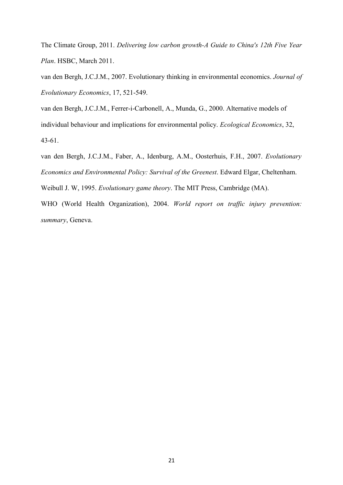The Climate Group, 2011. *Delivering low carbon growth-A Guide to China's 12th Five Year Plan*. HSBC, March 2011.

van den Bergh, J.C.J.M., 2007. Evolutionary thinking in environmental economics. *Journal of Evolutionary Economics*, 17, 521-549.

van den Bergh, J.C.J.M., Ferrer-i-Carbonell, A., Munda, G., 2000. Alternative models of individual behaviour and implications for environmental policy. *Ecological Economics*, 32, 43-61.

van den Bergh, J.C.J.M., Faber, A., Idenburg, A.M., Oosterhuis, F.H., 2007. *Evolutionary Economics and Environmental Policy: Survival of the Greenest*. Edward Elgar, Cheltenham.

Weibull J. W, 1995. *Evolutionary game theory*. The MIT Press, Cambridge (MA).

WHO (World Health Organization), 2004. *World report on traffic injury prevention: summary*, Geneva.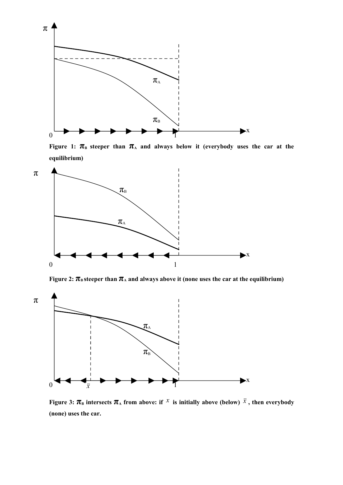

**Figure 1:**  $\pi$ <sup>B</sup> steeper than  $\pi$ <sup>A</sup> and always below it (everybody uses the car at the **equilibrium)**



**Figure 2:**  $\pi_{\text{B}}$  steeper than  $\pi_{\text{A}}$  and always above it (none uses the car at the equilibrium)



**Figure 3:**  $\pi_{\text{B}}$  intersects  $\pi_{\text{A}}$  from above: if  $X$  is initially above (below)  $\overline{X}$ , then everybody **(none) uses the car.**